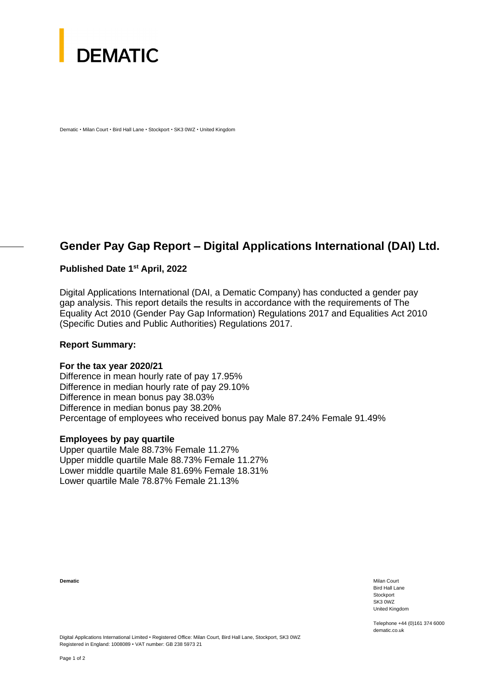

Dematic • Milan Court • Bird Hall Lane • Stockport • SK3 0WZ • United Kingdom

# **Gender Pay Gap Report – Digital Applications International (DAI) Ltd.**

## **Published Date 1st April, 2022**

Digital Applications International (DAI, a Dematic Company) has conducted a gender pay gap analysis. This report details the results in accordance with the requirements of The Equality Act 2010 (Gender Pay Gap Information) Regulations 2017 and Equalities Act 2010 (Specific Duties and Public Authorities) Regulations 2017.

#### **Report Summary:**

#### **For the tax year 2020/21**

Difference in mean hourly rate of pay 17.95% Difference in median hourly rate of pay 29.10% Difference in mean bonus pay 38.03% Difference in median bonus pay 38.20% Percentage of employees who received bonus pay Male 87.24% Female 91.49%

#### **Employees by pay quartile**

Upper quartile Male 88.73% Female 11.27% Upper middle quartile Male 88.73% Female 11.27% Lower middle quartile Male 81.69% Female 18.31% Lower quartile Male 78.87% Female 21.13%

**Dematic** Milan Court Number of the Milan Court Number of the Milan Court Number of the Milan Court Number of the Milan Court of the Milan Court of the Milan Court of the Milan Court of the Milan Court of the Milan Court o Bird Hall Lane **Stockport** SK3 0WZ United Kingdom

> Telephone +44 (0)161 374 6000 dematic.co.uk

Digital Applications International Limited • Registered Office: Milan Court, Bird Hall Lane, Stockport, SK3 0WZ Registered in England: 1008089 • VAT number: GB 238 5973 21